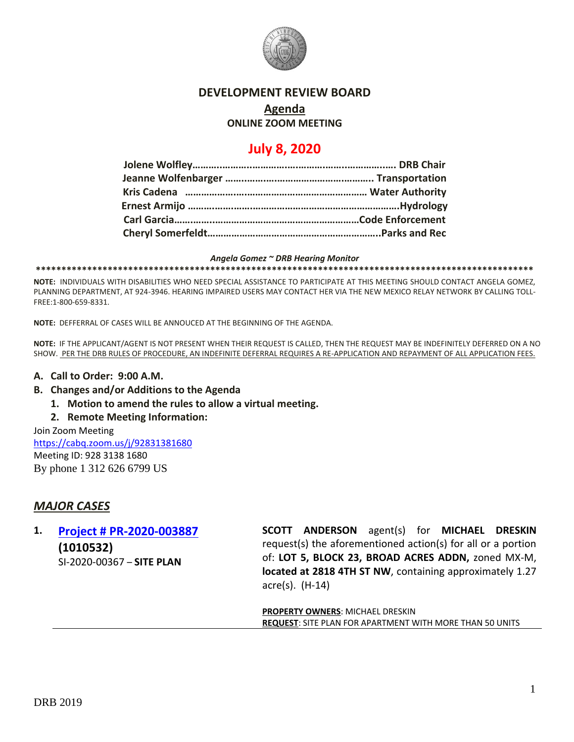

### **DEVELOPMENT REVIEW BOARD**

# **Agenda**

### **ONLINE ZOOM MEETING**

# **July 8, 2020**

#### *Angela Gomez ~ DRB Hearing Monitor*

**\*\*\*\*\*\*\*\*\*\*\*\*\*\*\*\*\*\*\*\*\*\*\*\*\*\*\*\*\*\*\*\*\*\*\*\*\*\*\*\*\*\*\*\*\*\*\*\*\*\*\*\*\*\*\*\*\*\*\*\*\*\*\*\*\*\*\*\*\*\*\*\*\*\*\*\*\*\*\*\*\*\*\*\*\*\*\*\*\*\*\*\*\*\*\*\*\***

**NOTE:** INDIVIDUALS WITH DISABILITIES WHO NEED SPECIAL ASSISTANCE TO PARTICIPATE AT THIS MEETING SHOULD CONTACT ANGELA GOMEZ, PLANNING DEPARTMENT, AT 924-3946. HEARING IMPAIRED USERS MAY CONTACT HER VIA THE NEW MEXICO RELAY NETWORK BY CALLING TOLL-FREE:1-800-659-8331.

**NOTE:** DEFFERRAL OF CASES WILL BE ANNOUCED AT THE BEGINNING OF THE AGENDA.

**NOTE:** IF THE APPLICANT/AGENT IS NOT PRESENT WHEN THEIR REQUEST IS CALLED, THEN THE REQUEST MAY BE INDEFINITELY DEFERRED ON A NO SHOW. PER THE DRB RULES OF PROCEDURE, AN INDEFINITE DEFERRAL REQUIRES A RE-APPLICATION AND REPAYMENT OF ALL APPLICATION FEES.

### **A. Call to Order: 9:00 A.M.**

- **B. Changes and/or Additions to the Agenda**
	- **1. Motion to amend the rules to allow a virtual meeting.**
	- **2. Remote Meeting Information:**

Join Zoom Meeting <https://cabq.zoom.us/j/92831381680> Meeting ID: 928 3138 1680 By phone 1 312 626 6799 US

# *MAJOR CASES*

# **1. [Project # PR-2020-003887](http://data.cabq.gov/government/planning/DRB/PR-2020-003887/DRB%20Submittals/PR-2020-003887_Jul_08_2020/Application/) (1010532)** SI-2020-00367 – **SITE PLAN**

**SCOTT ANDERSON** agent(s) for **MICHAEL DRESKIN** request(s) the aforementioned action(s) for all or a portion of: **LOT 5, BLOCK 23, BROAD ACRES ADDN,** zoned MX-M, **located at 2818 4TH ST NW**, containing approximately 1.27 acre(s). (H-14)

**PROPERTY OWNERS**: MICHAEL DRESKIN **REQUEST**: SITE PLAN FOR APARTMENT WITH MORE THAN 50 UNITS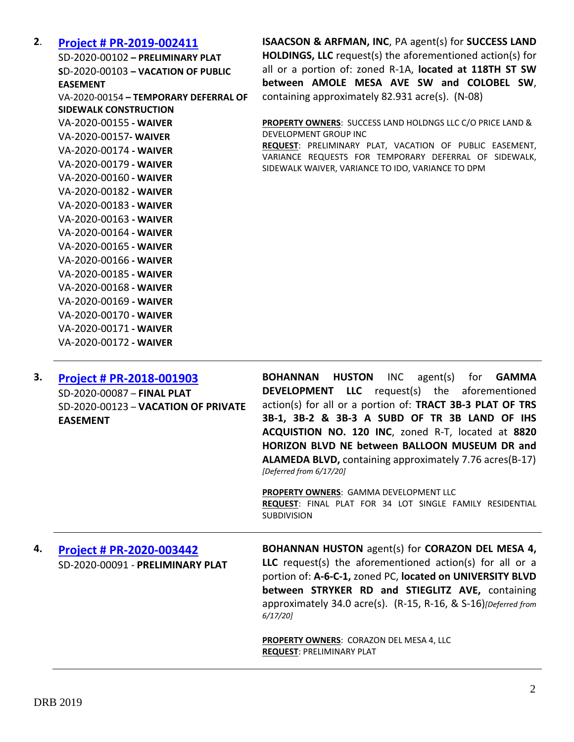### **2**. **[Project # PR-2019-002411](http://data.cabq.gov/government/planning/DRB/PR-2019-002411/DRB%20Submittals/PR-2019-002411_Jul_08_2020/Application/)**

SD-2020-00102 **– PRELIMINARY PLAT S**D-2020-00103 **– VACATION OF PUBLIC EASEMENT** VA-2020-00154 **– TEMPORARY DEFERRAL OF SIDEWALK CONSTRUCTION** VA-2020-00155 **- WAIVER** VA-2020-00157**- WAIVER** VA-2020-00174 **- WAIVER** VA-2020-00179 **- WAIVER** VA-2020-00160 **- WAIVER** VA-2020-00182 **- WAIVER** VA-2020-00183 **- WAIVER** VA-2020-00163 **- WAIVER** VA-2020-00164 **- WAIVER** VA-2020-00165 **- WAIVER** VA-2020-00166 **- WAIVER** VA-2020-00185 **- WAIVER** VA-2020-00168 **- WAIVER** VA-2020-00169 **- WAIVER** VA-2020-00170 **- WAIVER** VA-2020-00171 **- WAIVER** VA-2020-00172 **- WAIVER**

**ISAACSON & ARFMAN, INC**, PA agent(s) for **SUCCESS LAND HOLDINGS, LLC** request(s) the aforementioned action(s) for all or a portion of: zoned R-1A, **located at 118TH ST SW between AMOLE MESA AVE SW and COLOBEL SW**, containing approximately 82.931 acre(s). (N-08)

**PROPERTY OWNERS**: SUCCESS LAND HOLDNGS LLC C/O PRICE LAND & DEVELOPMENT GROUP INC

**REQUEST**: PRELIMINARY PLAT, VACATION OF PUBLIC EASEMENT, VARIANCE REQUESTS FOR TEMPORARY DEFERRAL OF SIDEWALK, SIDEWALK WAIVER, VARIANCE TO IDO, VARIANCE TO DPM

| 3. | <b>Project # PR-2018-001903</b>     | <b>BOHANNAN HUSTON</b><br>$INC$ agent $(s)$<br><b>GAMMA</b><br>for |
|----|-------------------------------------|--------------------------------------------------------------------|
|    | SD-2020-00087 - FINAL PLAT          | <b>DEVELOPMENT LLC</b> request(s) the aforementioned               |
|    | SD-2020-00123 - VACATION OF PRIVATE | action(s) for all or a portion of: TRACT 3B-3 PLAT OF TRS          |
|    | <b>EASEMENT</b>                     | 3B-1, 3B-2 & 3B-3 A SUBD OF TR 3B LAND OF IHS                      |
|    |                                     | ACQUISTION NO. 120 INC, zoned R-T, located at 8820                 |
|    |                                     | <b>HORIZON BLVD NE between BALLOON MUSEUM DR and</b>               |
|    |                                     | <b>ALAMEDA BLVD, containing approximately 7.76 acres(B-17)</b>     |
|    |                                     | [Deferred from 6/17/20]                                            |
|    |                                     | <b>PROPERTY OWNERS: GAMMA DEVELOPMENT LLC</b>                      |
|    |                                     | REQUEST: FINAL PLAT FOR 34 LOT SINGLE FAMILY RESIDENTIAL           |
|    |                                     | <b>SUBDIVISION</b>                                                 |
|    |                                     |                                                                    |
| 4. | <b>Project # PR-2020-003442</b>     | BOHANNAN HUSTON agent(s) for CORAZON DEL MESA 4,                   |
|    | SD-2020-00091 - PRELIMINARY PLAT    | LLC request(s) the aforementioned action(s) for all or a           |
|    |                                     | portion of: A-6-C-1, zoned PC, located on UNIVERSITY BLVD          |
|    |                                     | between STRYKER RD and STIEGLITZ AVE, containing                   |

*6/17/20]*

**PROPERTY OWNERS**: CORAZON DEL MESA 4, LLC **REQUEST**: PRELIMINARY PLAT

approximately 34.0 acre(s). (R-15, R-16, & S-16)*[Deferred from*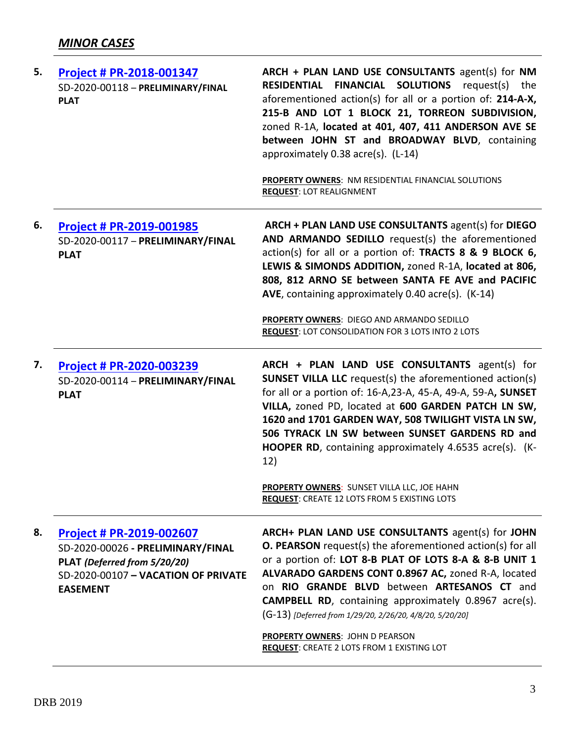| 5. | Project # PR-2018-001347<br>SD-2020-00118 - PRELIMINARY/FINAL<br><b>PLAT</b>                                                                            | ARCH + PLAN LAND USE CONSULTANTS agent(s) for NM<br><b>RESIDENTIAL FINANCIAL SOLUTIONS</b> request(s) the<br>aforementioned action(s) for all or a portion of: 214-A-X,<br>215-B AND LOT 1 BLOCK 21, TORREON SUBDIVISION,<br>zoned R-1A, located at 401, 407, 411 ANDERSON AVE SE<br>between JOHN ST and BROADWAY BLVD, containing<br>approximately 0.38 acre(s). (L-14)<br>PROPERTY OWNERS: NM RESIDENTIAL FINANCIAL SOLUTIONS<br><b>REQUEST: LOT REALIGNMENT</b> |
|----|---------------------------------------------------------------------------------------------------------------------------------------------------------|--------------------------------------------------------------------------------------------------------------------------------------------------------------------------------------------------------------------------------------------------------------------------------------------------------------------------------------------------------------------------------------------------------------------------------------------------------------------|
| 6. | Project # PR-2019-001985<br>SD-2020-00117 - PRELIMINARY/FINAL<br><b>PLAT</b>                                                                            | ARCH + PLAN LAND USE CONSULTANTS agent(s) for DIEGO<br>AND ARMANDO SEDILLO request(s) the aforementioned<br>action(s) for all or a portion of: TRACTS 8 & 9 BLOCK 6,<br>LEWIS & SIMONDS ADDITION, zoned R-1A, located at 806,<br>808, 812 ARNO SE between SANTA FE AVE and PACIFIC<br>AVE, containing approximately 0.40 acre(s). (K-14)<br>PROPERTY OWNERS: DIEGO AND ARMANDO SEDILLO<br><b>REQUEST: LOT CONSOLIDATION FOR 3 LOTS INTO 2 LOTS</b>                 |
| 7. | Project # PR-2020-003239<br>SD-2020-00114 - PRELIMINARY/FINAL<br><b>PLAT</b>                                                                            | ARCH + PLAN LAND USE CONSULTANTS agent(s) for<br><b>SUNSET VILLA LLC</b> request(s) the aforementioned action(s)<br>for all or a portion of: 16-A, 23-A, 45-A, 49-A, 59-A, SUNSET<br>VILLA, zoned PD, located at 600 GARDEN PATCH LN SW,<br>1620 and 1701 GARDEN WAY, 508 TWILIGHT VISTA LN SW,<br>506 TYRACK LN SW between SUNSET GARDENS RD and<br>HOOPER RD, containing approximately 4.6535 acre(s). (K-<br>12)<br>PROPERTY OWNERS: SUNSET VILLA LLC, JOE HAHN |
|    |                                                                                                                                                         | REQUEST: CREATE 12 LOTS FROM 5 EXISTING LOTS                                                                                                                                                                                                                                                                                                                                                                                                                       |
| 8. | Project # PR-2019-002607<br>SD-2020-00026 - PRELIMINARY/FINAL<br>PLAT (Deferred from 5/20/20)<br>SD-2020-00107 - VACATION OF PRIVATE<br><b>EASEMENT</b> | ARCH+ PLAN LAND USE CONSULTANTS agent(s) for JOHN<br><b>O. PEARSON</b> request(s) the aforementioned action(s) for all<br>or a portion of: LOT 8-B PLAT OF LOTS 8-A & 8-B UNIT 1<br>ALVARADO GARDENS CONT 0.8967 AC, zoned R-A, located<br>on RIO GRANDE BLVD between ARTESANOS CT and<br><b>CAMPBELL RD</b> , containing approximately 0.8967 acre(s).<br>(G-13) [Deferred from 1/29/20, 2/26/20, 4/8/20, 5/20/20]                                                |
|    |                                                                                                                                                         | <b>PROPERTY OWNERS: JOHN D PEARSON</b><br>REQUEST: CREATE 2 LOTS FROM 1 EXISTING LOT                                                                                                                                                                                                                                                                                                                                                                               |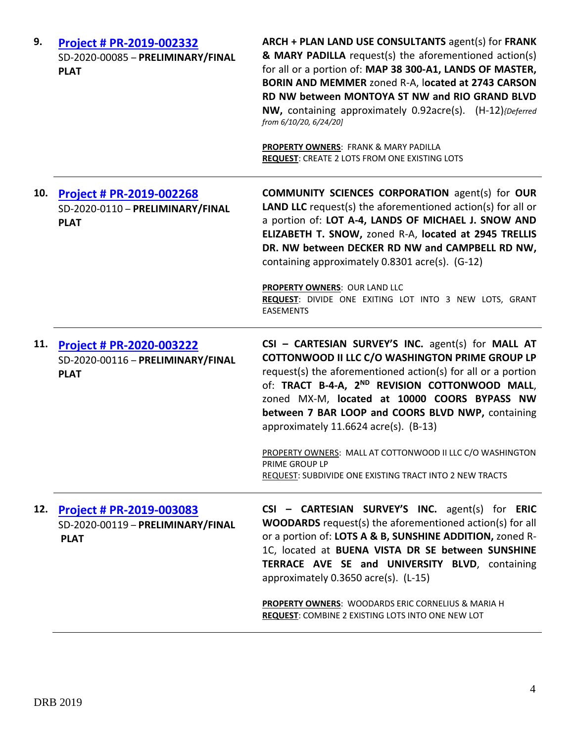| 9.  | Project # PR-2019-002332<br>SD-2020-00085 - PRELIMINARY/FINAL<br><b>PLAT</b>        | ARCH + PLAN LAND USE CONSULTANTS agent(s) for FRANK<br>& MARY PADILLA request(s) the aforementioned action(s)<br>for all or a portion of: MAP 38 300-A1, LANDS OF MASTER,<br>BORIN AND MEMMER zoned R-A, located at 2743 CARSON<br>RD NW between MONTOYA ST NW and RIO GRAND BLVD<br>NW, containing approximately 0.92acre(s). (H-12) (Deferred<br>from 6/10/20, 6/24/20]<br>PROPERTY OWNERS: FRANK & MARY PADILLA |
|-----|-------------------------------------------------------------------------------------|--------------------------------------------------------------------------------------------------------------------------------------------------------------------------------------------------------------------------------------------------------------------------------------------------------------------------------------------------------------------------------------------------------------------|
|     |                                                                                     | <b>REQUEST: CREATE 2 LOTS FROM ONE EXISTING LOTS</b>                                                                                                                                                                                                                                                                                                                                                               |
| 10. | <b>Project # PR-2019-002268</b><br>SD-2020-0110 - PRELIMINARY/FINAL<br><b>PLAT</b>  | <b>COMMUNITY SCIENCES CORPORATION agent(s) for OUR</b><br><b>LAND LLC</b> request(s) the aforementioned action(s) for all or<br>a portion of: LOT A-4, LANDS OF MICHAEL J. SNOW AND<br>ELIZABETH T. SNOW, zoned R-A, located at 2945 TRELLIS<br>DR. NW between DECKER RD NW and CAMPBELL RD NW,<br>containing approximately 0.8301 acre(s). (G-12)                                                                 |
|     |                                                                                     | <b>PROPERTY OWNERS: OUR LAND LLC</b><br>REQUEST: DIVIDE ONE EXITING LOT INTO 3 NEW LOTS, GRANT<br><b>EASEMENTS</b>                                                                                                                                                                                                                                                                                                 |
| 11. | <b>Project # PR-2020-003222</b><br>SD-2020-00116 - PRELIMINARY/FINAL<br><b>PLAT</b> | CSI - CARTESIAN SURVEY'S INC. agent(s) for MALL AT<br>COTTONWOOD II LLC C/O WASHINGTON PRIME GROUP LP<br>request(s) the aforementioned action(s) for all or a portion<br>of: TRACT B-4-A, 2 <sup>ND</sup> REVISION COTTONWOOD MALL,<br>zoned MX-M, located at 10000 COORS BYPASS NW<br>between 7 BAR LOOP and COORS BLVD NWP, containing<br>approximately $11.6624$ acre(s). (B-13)                                |
|     |                                                                                     | PROPERTY OWNERS: MALL AT COTTONWOOD II LLC C/O WASHINGTON<br>PRIME GROUP LP<br>REQUEST: SUBDIVIDE ONE EXISTING TRACT INTO 2 NEW TRACTS                                                                                                                                                                                                                                                                             |
| 12. | Project # PR-2019-003083<br>SD-2020-00119 - PRELIMINARY/FINAL<br><b>PLAT</b>        | CSI - CARTESIAN SURVEY'S INC. agent(s) for ERIC<br><b>WOODARDS</b> request(s) the aforementioned action(s) for all<br>or a portion of: LOTS A & B, SUNSHINE ADDITION, zoned R-<br>1C, located at BUENA VISTA DR SE between SUNSHINE<br>TERRACE AVE SE and UNIVERSITY BLVD, containing<br>approximately 0.3650 acre(s). (L-15)                                                                                      |
|     |                                                                                     | PROPERTY OWNERS: WOODARDS ERIC CORNELIUS & MARIA H<br>REQUEST: COMBINE 2 EXISTING LOTS INTO ONE NEW LOT                                                                                                                                                                                                                                                                                                            |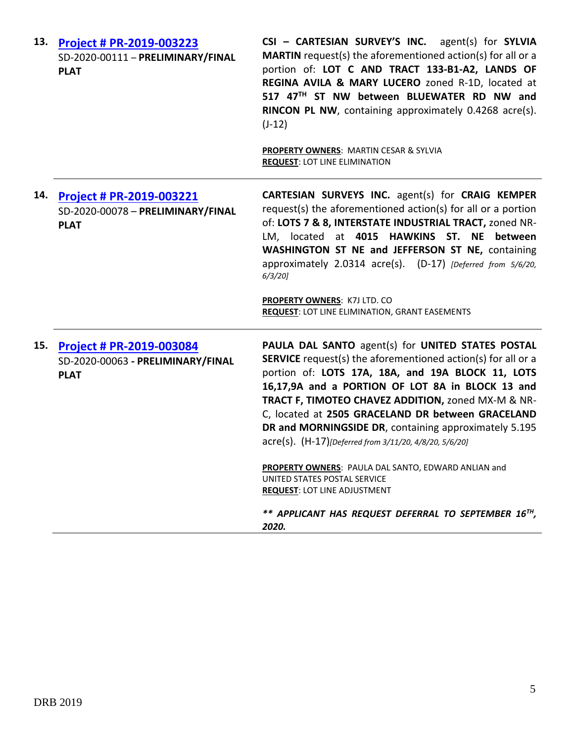| 13. | Project # PR-2019-003223<br>SD-2020-00111 - PRELIMINARY/FINAL<br><b>PLAT</b>        | CSI - CARTESIAN SURVEY'S INC. agent(s) for SYLVIA<br><b>MARTIN</b> request(s) the aforementioned action(s) for all or a<br>portion of: LOT C AND TRACT 133-B1-A2, LANDS OF<br>REGINA AVILA & MARY LUCERO zoned R-1D, located at<br>517 47TH ST NW between BLUEWATER RD NW and<br>RINCON PL NW, containing approximately 0.4268 acre(s).<br>$(J-12)$<br><b>PROPERTY OWNERS: MARTIN CESAR &amp; SYLVIA</b><br><b>REQUEST: LOT LINE ELIMINATION</b>                                                                                                                                                                                                               |
|-----|-------------------------------------------------------------------------------------|----------------------------------------------------------------------------------------------------------------------------------------------------------------------------------------------------------------------------------------------------------------------------------------------------------------------------------------------------------------------------------------------------------------------------------------------------------------------------------------------------------------------------------------------------------------------------------------------------------------------------------------------------------------|
| 14. | <b>Project # PR-2019-003221</b><br>SD-2020-00078 - PRELIMINARY/FINAL<br><b>PLAT</b> | CARTESIAN SURVEYS INC. agent(s) for CRAIG KEMPER<br>request(s) the aforementioned action(s) for all or a portion<br>of: LOTS 7 & 8, INTERSTATE INDUSTRIAL TRACT, zoned NR-<br>LM, located at 4015 HAWKINS ST. NE between<br>WASHINGTON ST NE and JEFFERSON ST NE, containing<br>approximately 2.0314 acre(s). (D-17) [Deferred from 5/6/20,<br>$6/3/20$ ]<br><b>PROPERTY OWNERS: K7J LTD. CO</b><br><b>REQUEST: LOT LINE ELIMINATION, GRANT EASEMENTS</b>                                                                                                                                                                                                      |
|     | 15. Project # PR-2019-003084<br>SD-2020-00063 - PRELIMINARY/FINAL<br><b>PLAT</b>    | PAULA DAL SANTO agent(s) for UNITED STATES POSTAL<br><b>SERVICE</b> request(s) the aforementioned action(s) for all or a<br>portion of: LOTS 17A, 18A, and 19A BLOCK 11, LOTS<br>16,17,9A and a PORTION OF LOT 8A in BLOCK 13 and<br>TRACT F, TIMOTEO CHAVEZ ADDITION, zoned MX-M & NR-<br>C, located at 2505 GRACELAND DR between GRACELAND<br>DR and MORNINGSIDE DR, containing approximately 5.195<br>acre(s). (H-17)[Deferred from 3/11/20, 4/8/20, 5/6/20]<br>PROPERTY OWNERS: PAULA DAL SANTO, EDWARD ANLIAN and<br>UNITED STATES POSTAL SERVICE<br><b>REQUEST: LOT LINE ADJUSTMENT</b><br>** APPLICANT HAS REQUEST DEFERRAL TO SEPTEMBER 16TH,<br>2020. |